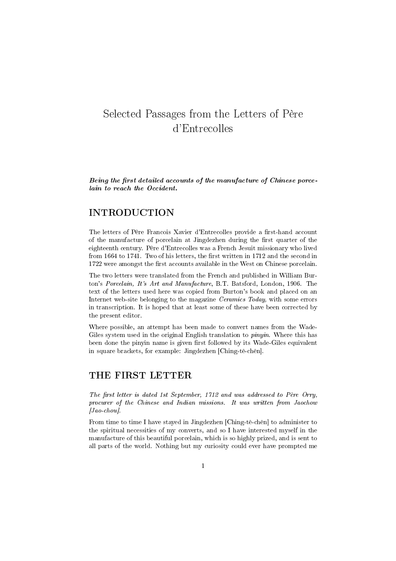## Selected Passages from the Letters of Père d'Entrecolles

Being the first detailed accounts of the manufacture of Chinese porcelain to reach the Occident.

## INTRODUCTION

The letters of Père Francois Xavier d'Entrecolles provide a first-hand account of the manufacture of porcelain at Jingdezhen during the first quarter of the eighteenth century. Père d'Entrecolles was a French Jesuit missionary who lived from  $1664$  to  $1741$ . Two of his letters, the first written in  $1712$  and the second in 1722 were amongst the first accounts available in the West on Chinese porcelain.

The two letters were translated from the French and published in William Burton's Porcelain, It's Art and Manufacture, B.T. Batsford, London, 1906. The text of the letters used here was copied from Burton's book and placed on an Internet web-site belonging to the magazine Ceramics Today, with some errors in transcription. It is hoped that at least some of these have been corrected by the present editor.

Where possible, an attempt has been made to convert names from the Wade-Giles system used in the original English translation to pinyin. Where this has been done the pinyin name is given first followed by its Wade-Giles equivalent in square brackets, for example: Jingdezhen [Ching-tê-chên].

## THE FIRST LETTER

The first letter is dated 1st September,  $1712$  and was addressed to Père Orry, procurer of the Chinese and Indian missions. It was written from Jaochow  $[Jao-choul.]$ 

From time to time I have stayed in Jingdezhen [Ching-tê-chên] to administer to the spiritual necessities of my converts, and so I have interested myself in the manufacture of this beautiful porcelain, which is so highly prized, and is sent to all parts of the world. Nothing but my curiosity could ever have prompted me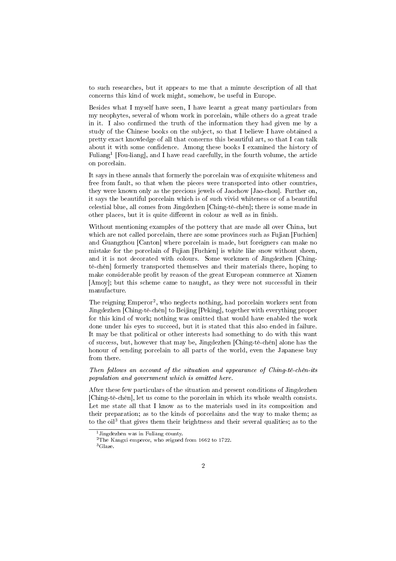to such researches, but it appears to me that a minute description of all that concerns this kind of work might, somehow, be useful in Europe.

Besides what I myself have seen, I have learnt a great many particulars from my neophytes, several of whom work in porcelain, while others do a great trade in it. I also confirmed the truth of the information they had given me by a study of the Chinese books on the subject, so that I believe I have obtained a pretty exact knowledge of all that concerns this beautiful art, so that I can talk about it with some condence. Among these books I examined the history of Fuliang<sup>1</sup> [Fou-liang], and I have read carefully, in the fourth volume, the article on porcelain.

It says in these annals that formerly the porcelain was of exquisite whiteness and free from fault, so that when the pieces were transported into other countries, they were known only as the precious jewels of Jaochow [Jao-chou]. Further on, it says the beautiful porcelain which is of such vivid whiteness or of a beautiful celestial blue, all comes from Jingdezhen [Ching-tê-chên]; there is some made in other places, but it is quite different in colour as well as in finish.

Without mentioning examples of the pottery that are made all over China, but which are not called porcelain, there are some provinces such as Fujian [Fuchien] and Guangzhou [Canton] where porcelain is made, but foreigners can make no mistake for the porcelain of Fujian [Fuchien] is white like snow without sheen, and it is not decorated with colours. Some workmen of Jingdezhen [Chingtê-chên] formerly transported themselves and their materials there, hoping to make considerable profit by reason of the great European commerce at Xiamen [Amoy]; but this scheme came to naught, as they were not successful in their manufacture.

The reigning Emperor<sup>2</sup>, who neglects nothing, had porcelain workers sent from Jingdezhen [Ching-tê-chên] to Beijing [Peking], together with everything proper for this kind of work; nothing was omitted that would have enabled the work done under his eyes to succeed, but it is stated that this also ended in failure. It may be that political or other interests had something to do with this want of success, but, however that may be, Jingdezhen [Ching-tê-chên] alone has the honour of sending porcelain to all parts of the world, even the Japanese buy from there.

Then follows an account of the situation and appearance of  $China-t\hat{e}$ -chên-its population and government which is omitted here.

After these few particulars of the situation and present conditions of Jingdezhen [Ching-tê-chên], let us come to the porcelain in which its whole wealth consists. Let me state all that I know as to the materials used in its composition and their preparation; as to the kinds of porcelains and the way to make them; as to the oil<sup>3</sup> that gives them their brightness and their several qualities; as to the

<sup>&</sup>lt;sup>1</sup> Jingdezhen was in Fuliang county.

<sup>2</sup>The Kangxi emperor, who reigned from 1662 to 1722.

<sup>3</sup>Glaze.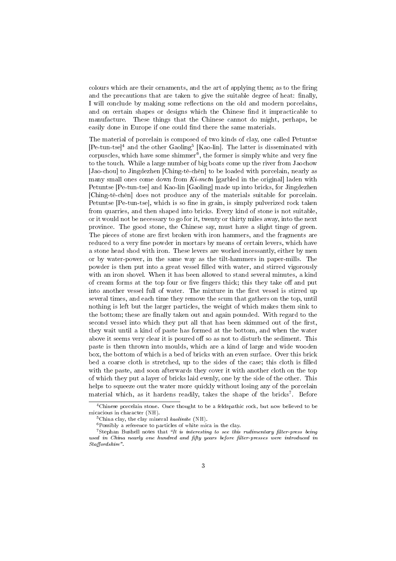colours which are their ornaments, and the art of applying them; as to the firing and the precautions that are taken to give the suitable degree of heat: finally, I will conclude by making some reflections on the old and modern porcelains, and on certain shapes or designs which the Chinese find it impracticable to manufacture. These things that the Chinese cannot do might, perhaps, be easily done in Europe if one could find there the same materials.

The material of porcelain is composed of two kinds of clay, one called Petuntse [Pe-tun-tse]<sup>4</sup> and the other Gaoling<sup>5</sup> [Kao-lin]. The latter is disseminated with corpuscles, which have some shimmer $^6$ , the former is simply white and very fine to the touch. While a large number of big boats come up the river from Jaochow [Jao-chou] to Jingdezhen [Ching-tê-chên] to be loaded with porcelain, nearly as many small ones come down from  $Ki$ -mctn [garbled in the original] laden with Petuntse [Pe-tun-tse] and Kao-lin [Gaoling] made up into bricks, for Jingdezhen [Ching-tê-chên] does not produce any of the materials suitable for porcelain. Petuntse [Pe-tun-tse], which is so fine in grain, is simply pulverized rock taken from quarries, and then shaped into bricks. Every kind of stone is not suitable, or it would not be necessary to go for it, twenty or thirty miles away, into the next province. The good stone, the Chinese say, must have a slight tinge of green. The pieces of stone are first broken with iron hammers, and the fragments are reduced to a very fine powder in mortars by means of certain levers, which have a stone head shod with iron. These levers are worked incessantly, either by men or by water-power, in the same way as the tilt-hammers in paper-mills. The powder is then put into a great vessel filled with water, and stirred vigorously with an iron shovel. When it has been allowed to stand several minutes, a kind of cream forms at the top four or five fingers thick; this they take off and put into another vessel full of water. The mixture in the first vessel is stirred up several times, and each time they remove the scum that gathers on the top, until nothing is left but the larger particles, the weight of which makes them sink to the bottom; these are finally taken out and again pounded. With regard to the second vessel into which they put all that has been skimmed out of the first, they wait until a kind of paste has formed at the bottom, and when the water above it seems very clear it is poured off so as not to disturb the sediment. This paste is then thrown into moulds, which are a kind of large and wide wooden box, the bottom of which is a bed of bricks with an even surface. Over this brick bed a coarse cloth is stretched, up to the sides of the case; this cloth is lled with the paste, and soon afterwards they cover it with another cloth on the top of which they put a layer of bricks laid evenly, one by the side of the other. This helps to squeeze out the water more quickly without losing any of the porcelain material which, as it hardens readily, takes the shape of the bricks<sup>7</sup>. Before

<sup>4</sup>Chinese porcelain stone. Once thought to be a feldspathic rock, but now believed to be micacious in character (NH).

 ${}^5$ China clay, the clay mineral kaolinite (NH).

 $^6$  Possibly a reference to particles of white mica in the clay.

<sup>&</sup>lt;sup>7</sup>Stephan Bushell notes that "It is interesting to see this rudimentary filter-press being used in China nearly one hundred and fifty years before filter-presses were introduced in  $Staffordshire$ ".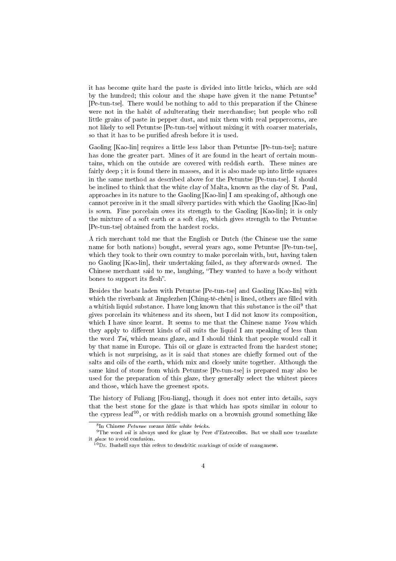it has become quite hard the paste is divided into little bricks, which are sold by the hundred; this colour and the shape have given it the name Petuntse<sup>8</sup> [Pe-tun-tse]. There would be nothing to add to this preparation if the Chinese were not in the habit of adulterating their merchandise; but people who roll little grains of paste in pepper dust, and mix them with real peppercorns, are not likely to sell Petuntse [Pe-tun-tse] without mixing it with coarser materials, so that it has to be purified afresh before it is used.

Gaoling [Kao-lin] requires a little less labor than Petuntse [Pe-tun-tse]; nature has done the greater part. Mines of it are found in the heart of certain mountains, which on the outside are covered with reddish earth. These mines are fairly deep ; it is found there in masses, and it is also made up into little squares in the same method as described above for the Petuntse [Pe-tun-tse]. I should be inclined to think that the white clay of Malta, known as the clay of St. Paul, approaches in its nature to the Gaoling [Kao-lin] I am speaking of, although one cannot perceive in it the small silvery particles with which the Gaoling [Kao-lin] is sown. Fine porcelain owes its strength to the Gaoling [Kao-lin]; it is only the mixture of a soft earth or a soft clay, which gives strength to the Petuntse [Pe-tun-tse] obtained from the hardest rocks.

A rich merchant told me that the English or Dutch (the Chinese use the same name for both nations) bought, several years ago, some Petuntse [Pe-tun-tse], which they took to their own country to make porcelain with, but, having taken no Gaoling [Kao-lin], their undertaking failed, as they afterwards owned. The Chinese merchant said to me, laughing, They wanted to have a body without bones to support its flesh".

Besides the boats laden with Petuntse [Pe-tun-tse] and Gaoling [Kao-lin] with which the riverbank at Jingdezhen [Ching-tê-chên] is lined, others are filled with a whitish liquid substance. I have long known that this substance is the oil<sup>9</sup> that gives porcelain its whiteness and its sheen, but I did not know its composition, which I have since learnt. It seems to me that the Chinese name Yeou which they apply to different kinds of oil suits the liquid I am speaking of less than the word  $Tsi$ , which means glaze, and I should think that people would call it by that name in Europe. This oil or glaze is extracted from the hardest stone; which is not surprising, as it is said that stones are chiefly formed out of the salts and oils of the earth, which mix and closely unite together. Although the same kind of stone from which Petuntse [Pe-tun-tse] is prepared may also be used for the preparation of this glaze, they generally select the whitest pieces and those, which have the greenest spots.

The history of Fuliang [Fou-liang], though it does not enter into details, says that the best stone for the glaze is that which has spots similar in colour to the cypress leaf<sup>10</sup>, or with reddish marks on a brownish ground something like

<sup>&</sup>lt;sup>8</sup>In Chinese Petunse means little white bricks.

 $9$ The word *oil* is always used for glaze by Pere d'Entrecolles. But we shall now translate it glaze to avoid confusion.

 $^{10}$ Dr. Bushell says this refers to dendritic markings of oxide of manganese.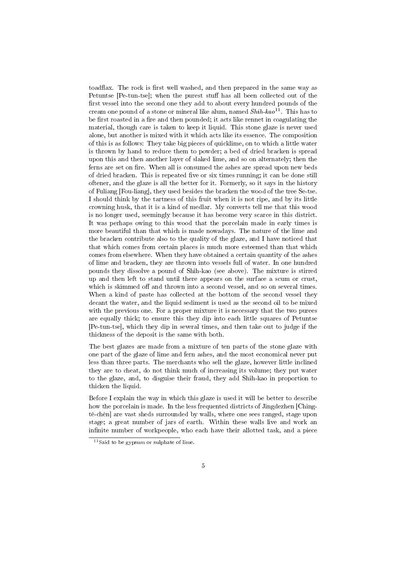toadflax. The rock is first well washed, and then prepared in the same way as Petuntse [Pe-tun-tse]; when the purest stuff has all been collected out of the first vessel into the second one they add to about every hundred pounds of the cream one pound of a stone or mineral like alum, named  $Shih\text{-}kao^{11}$ . This has to be first roasted in a fire and then pounded; it acts like rennet in coagulating the material, though care is taken to keep it liquid. This stone glaze is never used alone, but another is mixed with it which acts like its essence. The composition of this is as follows: They take big pieces of quicklime, on to which a little water is thrown by hand to reduce them to powder; a bed of dried bracken is spread upon this and then another layer of slaked lime, and so on alternately; then the ferns are set on fire. When all is consumed the ashes are spread upon new beds of dried bracken. This is repeated five or six times running; it can be done still oftener, and the glaze is all the better for it. Formerly, so it says in the history of Fuliang [Fou-liang], they used besides the bracken the wood of the tree Se-tse. I should think by the tartness of this fruit when it is not ripe, and by its little crowning husk, that it is a kind of medlar. My converts tell me that this wood is no longer used, seemingly because it has become very scarce in this district. It was perhaps owing to this wood that the porcelain made in early times is more beautiful than that which is made nowadays. The nature of the lime and the bracken contribute also to the quality of the glaze, and I have noticed that that which comes from certain places is much more esteemed than that which comes from elsewhere. When they have obtained a certain quantity of the ashes of lime and bracken, they are thrown into vessels full of water. In one hundred pounds they dissolve a pound of Shih-kao (see above). The mixture is stirred up and then left to stand until there appears on the surface a scum or crust, which is skimmed off and thrown into a second vessel, and so on several times. When a kind of paste has collected at the bottom of the second vessel they decant the water, and the liquid sediment is used as the second oil to be mixed with the previous one. For a proper mixture it is necessary that the two purees are equally thick; to ensure this they dip into each little squares of Petuntse [Pe-tun-tse], which they dip in several times, and then take out to judge if the thickness of the deposit is the same with both.

The best glazes are made from a mixture of ten parts of the stone glaze with one part of the glaze of lime and fern ashes, and the most economical never put less than three parts. The merchants who sell the glaze, however little inclined they are to cheat, do not think much of increasing its volume; they put water to the glaze, and, to disguise their fraud, they add Shih-kao in proportion to thicken the liquid.

Before I explain the way in which this glaze is used it will be better to describe how the porcelain is made. In the less frequented districts of Jingdezhen [Chingtê-chên] are vast sheds surrounded by walls, where one sees ranged, stage upon stage; a great number of jars of earth. Within these walls live and work an infinite number of workpeople, who each have their allotted task, and a piece

 $11$ Said to be gypsum or sulphate of lime.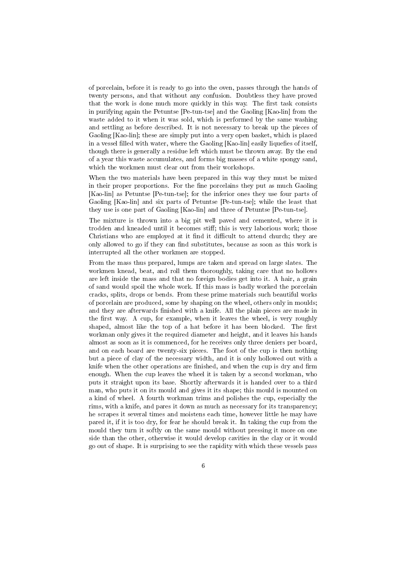of porcelain, before it is ready to go into the oven, passes through the hands of twenty persons, and that without any confusion. Doubtless they have proved that the work is done much more quickly in this way. The first task consists in purifying again the Petuntse [Pe-tun-tse] and the Gaoling [Kao-lin] from the waste added to it when it was sold, which is performed by the same washing and settling as before described. It is not necessary to break up the pieces of Gaoling [Kao-lin]; these are simply put into a very open basket, which is placed in a vessel filled with water, where the Gaoling  $[Ka<sub>o</sub>-lin]$  easily liquefies of itself, though there is generally a residue left which must be thrown away. By the end of a year this waste accumulates, and forms big masses of a white spongy sand, which the workmen must clear out from their workshops.

When the two materials have been prepared in this way they must be mixed in their proper proportions. For the fine porcelains they put as much Gaoling [Kao-lin] as Petuntse [Pe-tun-tse]; for the inferior ones they use four parts of Gaoling [Kao-lin] and six parts of Petuntse [Pe-tun-tse]; while the least that they use is one part of Gaoling [Kao-lin] and three of Petuntse [Pe-tun-tse].

The mixture is thrown into a big pit well paved and cemented, where it is trodden and kneaded until it becomes stiff; this is very laborious work; those Christians who are employed at it find it difficult to attend church; they are only allowed to go if they can find substitutes, because as soon as this work is interrupted all the other workmen are stopped.

From the mass thus prepared, lumps are taken and spread on large slates. The workmen knead, beat, and roll them thoroughly, taking care that no hollows are left inside the mass and that no foreign bodies get into it. A hair, a grain of sand would spoil the whole work. If this mass is badly worked the porcelain cracks, splits, drops or bends. From these prime materials such beautiful works of porcelain are produced, some by shaping on the wheel, others only in moulds; and they are afterwards finished with a knife. All the plain pieces are made in the first way. A cup, for example, when it leaves the wheel, is very roughly shaped, almost like the top of a hat before it has been blocked. The first workman only gives it the required diameter and height, and it leaves his hands almost as soon as it is commenced, for he receives only three deniers per board, and on each board are twenty-six pieces. The foot of the cup is then nothing but a piece of clay of the necessary width, and it is only hollowed out with a knife when the other operations are finished, and when the cup is dry and firm enough. When the cup leaves the wheel it is taken by a second workman, who puts it straight upon its base. Shortly afterwards it is handed over to a third man, who puts it on its mould and gives it its shape; this mould is mounted on a kind of wheel. A fourth workman trims and polishes the cup, especially the rims, with a knife, and pares it down as much as necessary for its transparency; he scrapes it several times and moistens each time, however little he may have pared it, if it is too dry, for fear he should break it. In taking the cup from the mould they turn it softly on the same mould without pressing it more on one side than the other, otherwise it would develop cavities in the clay or it would go out of shape. It is surprising to see the rapidity with which these vessels pass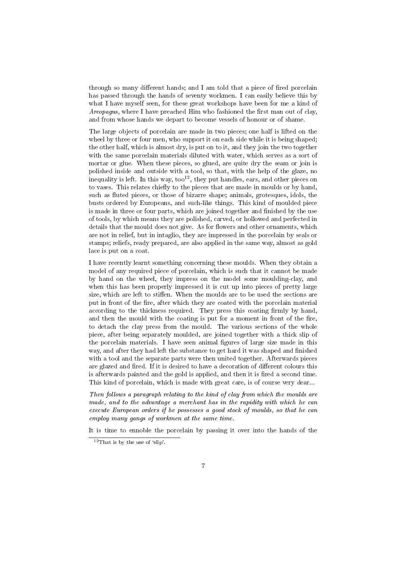through so many different hands; and I am told that a piece of fired porcelain has passed through the hands of seventy workmen. I can easily believe this by what I have myself seen, for these great workshops have been for me a kind of Areopagus, where I have preached Him who fashioned the first man out of clay, and from whose hands we depart to become vessels of honour or of shame.

The large objects of porcelain are made in two pieces; one half is lifted on the wheel by three or four men, who support it on each side while it is being shaped; the other half, which is almost dry, is put on to it, and they join the two together with the same porcelain materials diluted with water, which serves as a sort of mortar or glue. When these pieces, so glued, are quite dry the seam or join is polished inside and outside with a tool, so that, with the help of the glaze, no inequality is left. In this way,  $\text{too}^{12}$ , they put handles, ears, and other pieces on to vases. This relates chiefly to the pieces that are made in moulds or by hand, such as fluted pieces, or those of bizarre shape; animals, grotesques, idols, the busts ordered by Europeans, and such-like things. This kind of moulded piece is made in three or four parts, which are joined together and finished by the use of tools, by which means they are polished, carved, or hollowed and perfected in details that the mould does not give. As for flowers and other ornaments, which are not in relief, but in intaglio, they are impressed in the porcelain by seals or stamps; reliefs, ready prepared, are also applied in the same way, almost as gold lace is put on a coat.

I have recently learnt something concerning these moulds. When they obtain a model of any required piece of porcelain, which is such that it cannot be made by hand on the wheel, they impress on the model some moulding-clay, and when this has been properly impressed it is cut up into pieces of pretty large size, which are left to stiffen. When the moulds are to be used the sections are put in front of the fire, after which they are coated with the porcelain material according to the thickness required. They press this coating firmly by hand, and then the mould with the coating is put for a moment in front of the fire, to detach the clay press from the mould. The various sections of the whole piece, after being separately moulded, are joined together with a thick slip of the porcelain materials. I have seen animal figures of large size made in this way, and after they had left the substance to get hard it was shaped and finished with a tool and the separate parts were then united together. Afterwards pieces are glazed and fired. If it is desired to have a decoration of different colours this is afterwards painted and the gold is applied, and then it is fired a second time. This kind of porcelain, which is made with great care, is of course very dear...

Then follows a paragraph relating to the kind of clay from which the moulds are made, and to the advantage a merchant has in the rapidity with which he can execute European orders if he possesses a good stock of moulds, so that he can employ many gangs of workmen at the same time.

It is time to ennoble the porcelain by passing it over into the hands of the

 $12$  That is by the use of 'slip'.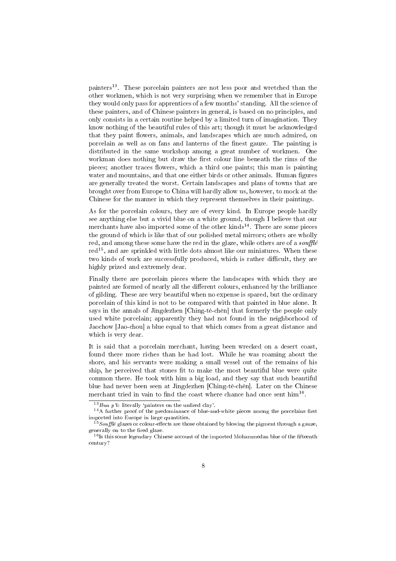painters<sup>13</sup>. These porcelain painters are not less poor and wretched than the other workmen, which is not very surprising when we remember that in Europe they would only pass for apprentices of a few months' standing. All the science of these painters, and of Chinese painters in general, is based on no principles, and only consists in a certain routine helped by a limited turn of imagination. They know nothing of the beautiful rules of this art; though it must be acknowledged that they paint flowers, animals, and landscapes which are much admired, on porcelain as well as on fans and lanterns of the finest gauze. The painting is distributed in the same workshop among a great number of workmen. One workman does nothing but draw the first colour line beneath the rims of the pieces; another traces flowers, which a third one paints; this man is painting water and mountains, and that one either birds or other animals. Human figures are generally treated the worst. Certain landscapes and plans of towns that are brought over from Europe to China will hardly allow us, however, to mock at the Chinese for the manner in which they represent themselves in their paintings.

As for the porcelain colours, they are of every kind. In Europe people hardly see anything else but a vivid blue on a white ground, though I believe that our merchants have also imported some of the other kinds<sup>14</sup>. There are some pieces the ground of which is like that of our polished metal mirrors; others are wholly red, and among these some have the red in the glaze, while others are of a souffle red<sup>15</sup>, and are sprinkled with little dots almost like our miniatures. When these two kinds of work are successfully produced, which is rather difficult, they are highly prized and extremely dear.

Finally there are porcelain pieces where the landscapes with which they are painted are formed of nearly all the different colours, enhanced by the brilliance of gilding. These are very beautiful when no expense is spared, but the ordinary porcelain of this kind is not to be compared with that painted in blue alone. It says in the annals of Jingdezhen [Ching-tê-chên] that formerly the people only used white porcelain; apparently they had not found in the neighborhood of Jaochow [Jao-chou] a blue equal to that which comes from a great distance and which is very dear.

It is said that a porcelain merchant, having been wrecked on a desert coast, found there more riches than he had lost. While he was roaming about the shore, and his servants were making a small vessel out of the remains of his ship, he perceived that stones fit to make the most beautiful blue were quite common there. He took with him a big load, and they say that such beautiful blue had never been seen at Jingdezhen [Ching-tê-chên]. Later on the Chinese merchant tried in vain to find the coast where chance had once sent him<sup>16</sup>.

 $13$  Hua p'i: literally 'painters on the unfired clay'.

 $14$ A further proof of the predominance of blue-and-white pieces among the porcelains first imported into Europe in large quantities.

<sup>&</sup>lt;sup>15</sup> Souffle glazes or colour-effects are those obtained by blowing the pigment through a gauze, generally on to the fired glaze.

 $16$  Is this some legendary Chinese account of the imported Mohammedan blue of the fifteenth century?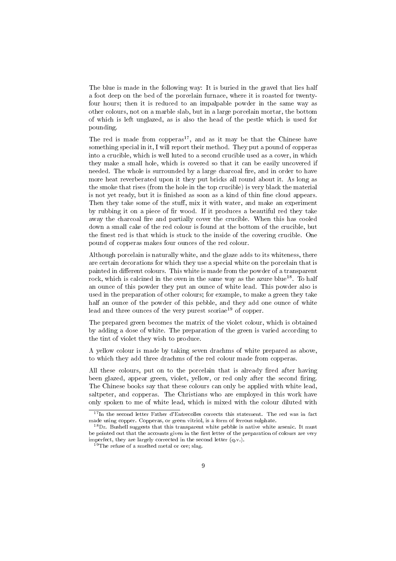The blue is made in the following way: It is buried in the gravel that lies half a foot deep on the bed of the porcelain furnace, where it is roasted for twentyfour hours; then it is reduced to an impalpable powder in the same way as other colours, not on a marble slab, but in a large porcelain mortar, the bottom of which is left unglazed, as is also the head of the pestle which is used for pounding.

The red is made from copperas<sup>17</sup>, and as it may be that the Chinese have something special in it, I will report their method. They put a pound of copperas into a crucible, which is well luted to a second crucible used as a cover, in which they make a small hole, which is covered so that it can be easily uncovered if needed. The whole is surrounded by a large charcoal fire, and in order to have more heat reverberated upon it they put bricks all round about it. As long as the smoke that rises (from the hole in the top crucible) is very black the material is not yet ready, but it is finished as soon as a kind of thin fine cloud appears. Then they take some of the stuff, mix it with water, and make an experiment by rubbing it on a piece of fir wood. If it produces a beautiful red they take away the charcoal fire and partially cover the crucible. When this has cooled down a small cake of the red colour is found at the bottom of the crucible, but the finest red is that which is stuck to the inside of the covering crucible. One pound of copperas makes four ounces of the red colour.

Although porcelain is naturally white, and the glaze adds to its whiteness, there are certain decorations for which they use a special white on the porcelain that is painted in different colours. This white is made from the powder of a transparent rock, which is calcined in the oven in the same way as the azure blue<sup>18</sup>. To half an ounce of this powder they put an ounce of white lead. This powder also is used in the preparation of other colours; for example, to make a green they take half an ounce of the powder of this pebble, and they add one ounce of white lead and three ounces of the very purest scoriae<sup>19</sup> of copper.

The prepared green becomes the matrix of the violet colour, which is obtained by adding a dose of white. The preparation of the green is varied according to the tint of violet they wish to produce.

A yellow colour is made by taking seven drachms of white prepared as above, to which they add three drachms of the red colour made from copperas.

All these colours, put on to the porcelain that is already fired after having been glazed, appear green, violet, yellow, or red only after the second firing. The Chinese books say that these colours can only be applied with white lead, saltpeter, and copperas. The Christians who are employed in this work have only spoken to me of white lead, which is mixed with the colour diluted with

<sup>&</sup>lt;sup>17</sup>In the second letter Father d'Entrecolles corrects this statement. The red was in fact made using copper. Copperas, or green vitriol, is a form of ferrous sulphate.

 $18$  Dr. Bushell suggests that this transparent white pebble is native white arsenic. It must be pointed out that the accounts given in the first letter of the preparation of colours are very imperfect, they are largely corrected in the second letter (q.v.).

<sup>&</sup>lt;sup>19</sup>The refuse of a smelted metal or ore; slag.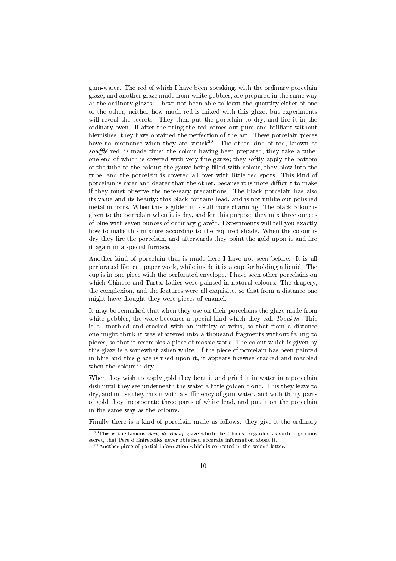gum-water. The red of which I have been speaking, with the ordinary porcelain glaze, and another glaze made from white pebbles, are prepared in the same way as the ordinary glazes. I have not been able to learn the quantity either of one or the other; neither how much red is mixed with this glaze; but experiments will reveal the secrets. They then put the porcelain to dry, and fire it in the ordinary oven. If after the firing the red comes out pure and brilliant without blemishes, they have obtained the perfection of the art. These porcelain pieces have no resonance when they are struck<sup>20</sup>. The other kind of red, known as soufflé red, is made thus: the colour having been prepared, they take a tube, one end of which is covered with very fine gauze; they softly apply the bottom of the tube to the colour; the gauze being filled with colour, they blow into the tube, and the porcelain is covered all over with little red spots. This kind of porcelain is rarer and dearer than the other, because it is more difficult to make if they must observe the necessary precautions. The black porcelain has also its value and its beauty; this black contains lead, and is not unlike our polished metal mirrors. When this is gilded it is still more charming. The black colour is given to the porcelain when it is dry, and for this purpose they mix three ounces of blue with seven ounces of ordinary glaze<sup>21</sup>. Experiments will tell you exactly how to make this mixture according to the required shade. When the colour is dry they fire the porcelain, and afterwards they paint the gold upon it and fire it again in a special furnace.

Another kind of porcelain that is made here I have not seen before. It is all perforated like cut paper work, while inside it is a cup for holding a liquid. The cup is in one piece with the perforated envelope. I have seen other porcelains on which Chinese and Tartar ladies were painted in natural colours. The drapery, the complexion, and the features were all exquisite, so that from a distance one might have thought they were pieces of enamel.

It may be remarked that when they use on their porcelains the glaze made from white pebbles, the ware becomes a special kind which they call  $Tsoui-ki$ . This is all marbled and cracked with an infinity of veins, so that from a distance one might think it was shattered into a thousand fragments without falling to pieces, so that it resembles a piece of mosaic work. The colour which is given by this glaze is a somewhat ashen white. If the piece of porcelain has been painted in blue and this glaze is used upon it, it appears likewise cracked and marbled when the colour is dry.

When they wish to apply gold they beat it and grind it in water in a porcelain dish until they see underneath the water a little golden cloud. This they leave to dry, and in use they mix it with a sufficiency of gum-water, and with thirty parts of gold they incorporate three parts of white lead, and put it on the porcelain in the same way as the colours.

Finally there is a kind of porcelain made as follows: they give it the ordinary

 $^{20}$ This is the famous Sang-de-Boeuf glaze which the Chinese regarded as such a precious secret, that Pere d'Entrecolles never obtained accurate information about it.

 $21$ Another piece of partial information which is corrected in the second letter.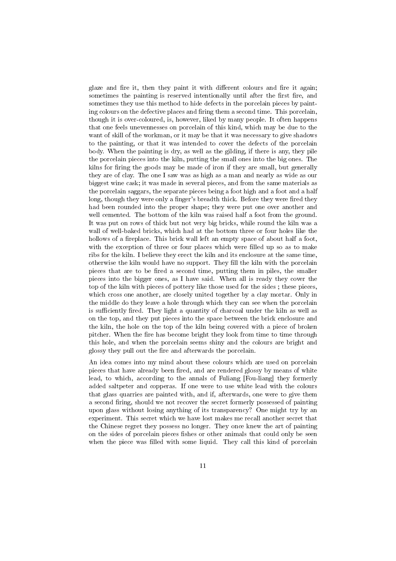glaze and fire it, then they paint it with different colours and fire it again; sometimes the painting is reserved intentionally until after the first fire, and sometimes they use this method to hide defects in the porcelain pieces by painting colours on the defective places and firing them a second time. This porcelain, though it is over-coloured, is, however, liked by many people. It often happens that one feels unevennesses on porcelain of this kind, which may be due to the want of skill of the workman, or it may be that it was necessary to give shadows to the painting, or that it was intended to cover the defects of the porcelain body. When the painting is dry, as well as the gilding, if there is any, they pile the porcelain pieces into the kiln, putting the small ones into the big ones. The kilns for firing the goods may be made of iron if they are small, but generally they are of clay. The one I saw was as high as a man and nearly as wide as our biggest wine cask; it was made in several pieces, and from the same materials as the porcelain saggars, the separate pieces being a foot high and a foot and a half long, though they were only a finger's breadth thick. Before they were fired they had been rounded into the proper shape; they were put one over another and well cemented. The bottom of the kiln was raised half a foot from the ground. It was put on rows of thick but not very big bricks, while round the kiln was a wall of well-baked bricks, which had at the bottom three or four holes like the hollows of a fireplace. This brick wall left an empty space of about half a foot, with the exception of three or four places which were filled up so as to make ribs for the kiln. I believe they erect the kiln and its enclosure at the same time, otherwise the kiln would have no support. They ll the kiln with the porcelain pieces that are to be fired a second time, putting them in piles, the smaller pieces into the bigger ones, as I have said. When all is ready they cover the top of the kiln with pieces of pottery like those used for the sides ; these pieces, which cross one another, are closely united together by a clay mortar. Only in the middle do they leave a hole through which they can see when the porcelain is sufficiently fired. They light a quantity of charcoal under the kiln as well as on the top, and they put pieces into the space between the brick enclosure and the kiln, the hole on the top of the kiln being covered with a piece of broken pitcher. When the fire has become bright they look from time to time through this hole, and when the porcelain seems shiny and the colours are bright and glossy they pull out the fire and afterwards the porcelain.

An idea comes into my mind about these colours which are used on porcelain pieces that have already been fired, and are rendered glossy by means of white lead, to which, according to the annals of Fuliang [Fou-liang] they formerly added saltpeter and copperas. If one were to use white lead with the colours that glass quarries are painted with, and if, afterwards, one were to give them a second firing, should we not recover the secret formerly possessed of painting upon glass without losing anything of its transparency? One might try by an experiment. This secret which we have lost makes me recall another secret that the Chinese regret they possess no longer. They once knew the art of painting on the sides of porcelain pieces fishes or other animals that could only be seen when the piece was filled with some liquid. They call this kind of porcelain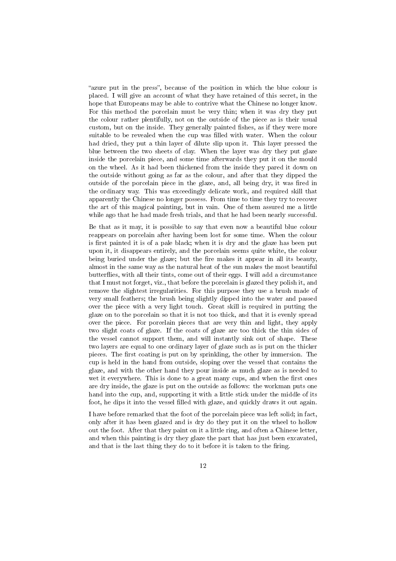"azure put in the press", because of the position in which the blue colour is placed. I will give an account of what they have retained of this secret, in the hope that Europeans may be able to contrive what the Chinese no longer know. For this method the porcelain must be very thin; when it was dry they put the colour rather plentifully, not on the outside of the piece as is their usual custom, but on the inside. They generally painted fishes, as if they were more suitable to be revealed when the cup was filled with water. When the colour had dried, they put a thin layer of dilute slip upon it. This layer pressed the blue between the two sheets of clay. When the layer was dry they put glaze inside the porcelain piece, and some time afterwards they put it on the mould on the wheel. As it had been thickened from the inside they pared it down on the outside without going as far as the colour, and after that they dipped the outside of the porcelain piece in the glaze, and, all being dry, it was fired in the ordinary way. This was exceedingly delicate work, and required skill that apparently the Chinese no longer possess. From time to time they try to recover the art of this magical painting, but in vain. One of them assured me a little while ago that he had made fresh trials, and that he had been nearly successful.

Be that as it may, it is possible to say that even now a beautiful blue colour reappears on porcelain after having been lost for some time. When the colour is first painted it is of a pale black; when it is dry and the glaze has been put upon it, it disappears entirely, and the porcelain seems quite white, the colour being buried under the glaze; but the fire makes it appear in all its beauty, almost in the same way as the natural heat of the sun makes the most beautiful butteries, with all their tints, come out of their eggs. I will add a circumstance that I must not forget, viz., that before the porcelain is glazed they polish it, and remove the slightest irregularities. For this purpose they use a brush made of very small feathers; the brush being slightly dipped into the water and passed over the piece with a very light touch. Great skill is required in putting the glaze on to the porcelain so that it is not too thick, and that it is evenly spread over the piece. For porcelain pieces that are very thin and light, they apply two slight coats of glaze. If the coats of glaze are too thick the thin sides of the vessel cannot support them, and will instantly sink out of shape. These two layers are equal to one ordinary layer of glaze such as is put on the thicker pieces. The first coating is put on by sprinkling, the other by immersion. The cup is held in the hand from outside, sloping over the vessel that contains the glaze, and with the other hand they pour inside as much glaze as is needed to wet it everywhere. This is done to a great many cups, and when the first ones are dry inside, the glaze is put on the outside as follows: the workman puts one hand into the cup, and, supporting it with a little stick under the middle of its foot, he dips it into the vessel filled with glaze, and quickly draws it out again.

I have before remarked that the foot of the porcelain piece was left solid; in fact, only after it has been glazed and is dry do they put it on the wheel to hollow out the foot. After that they paint on it a little ring, and often a Chinese letter, and when this painting is dry they glaze the part that has just been excavated, and that is the last thing they do to it before it is taken to the firing.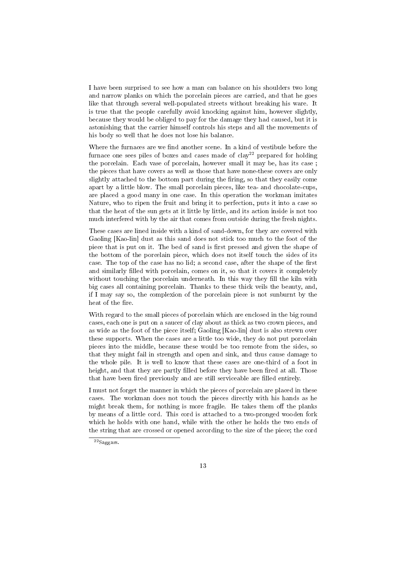I have been surprised to see how a man can balance on his shoulders two long and narrow planks on which the porcelain pieces are carried, and that he goes like that through several well-populated streets without breaking his ware. It is true that the people carefully avoid knocking against him, however slightly, because they would be obliged to pay for the damage they had caused, but it is astonishing that the carrier himself controls his steps and all the movements of his body so well that he does not lose his balance.

Where the furnaces are we find another scene. In a kind of vestibule before the furnace one sees piles of boxes and cases made of  $clay<sup>22</sup>$  prepared for holding the porcelain. Each vase of porcelain, however small it may be, has its case ; the pieces that have covers as well as those that have none-these covers are only slightly attached to the bottom part during the firing, so that they easily come apart by a little blow. The small porcelain pieces, like tea- and chocolate-cups, are placed a good many in one case. In this operation the workman imitates Nature, who to ripen the fruit and bring it to perfection, puts it into a case so that the heat of the sun gets at it little by little, and its action inside is not too much interfered with by the air that comes from outside during the fresh nights.

These cases are lined inside with a kind of sand-down, for they are covered with Gaoling [Kao-lin] dust as this sand does not stick too much to the foot of the piece that is put on it. The bed of sand is first pressed and given the shape of the bottom of the porcelain piece, which does not itself touch the sides of its case. The top of the case has no lid; a second case, after the shape of the first and similarly filled with porcelain, comes on it, so that it covers it completely without touching the porcelain underneath. In this way they fill the kiln with big cases all containing porcelain. Thanks to these thick veils the beauty, and, if I may say so, the complexion of the porcelain piece is not sunburnt by the heat of the fire.

With regard to the small pieces of porcelain which are enclosed in the big round cases, each one is put on a saucer of clay about as thick as two crown pieces, and as wide as the foot of the piece itself; Gaoling [Kao-lin] dust is also strewn over these supports. When the cases are a little too wide, they do not put porcelain pieces into the middle, because these would be too remote from the sides, so that they might fail in strength and open and sink, and thus cause damage to the whole pile. It is well to know that these cases are one-third of a foot in height, and that they are partly filled before they have been fired at all. Those that have been fired previously and are still serviceable are filled entirely.

I must not forget the manner in which the pieces of porcelain are placed in these cases. The workman does not touch the pieces directly with his hands as he might break them, for nothing is more fragile. He takes them off the planks by means of a little cord. This cord is attached to a two-pronged wooden fork which he holds with one hand, while with the other he holds the two ends of the string that are crossed or opened according to the size of the piece; the cord

<sup>&</sup>lt;sup>22</sup>Saggars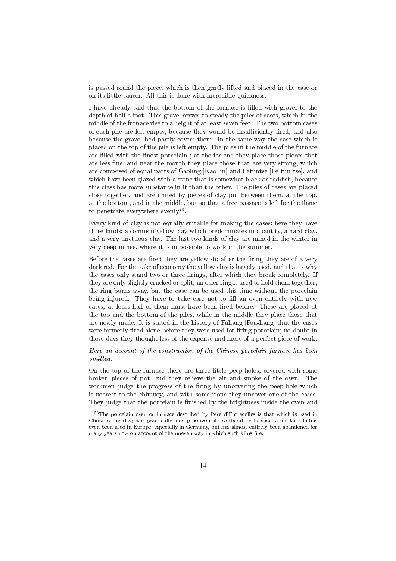is passed round the piece, which is then gently lifted and placed in the case or on its little saucer. All this is done with incredible quickness.

I have already said that the bottom of the furnace is lled with gravel to the depth of half a foot. This gravel serves to steady the piles of cases, which in the middle of the furnace rise to a height of at least seven feet. The two bottom cases of each pile are left empty, because they would be insufficiently fired, and also because the gravel bed partly covers them. In the same way the case which is placed on the top of the pile is left empty. The piles in the middle of the furnace are filled with the finest porcelain ; at the far end they place those pieces that are less fine, and near the mouth they place those that are very strong, which are composed of equal parts of Gaoling [Kao-lin] and Petuntse [Pe-tun-tse], and which have been glazed with a stone that is somewhat black or reddish, because this class has more substance in it than the other. The piles of cases are placed close together, and are united by pieces of clay put between them, at the top, at the bottom, and in the middle, but so that a free passage is left for the flame to penetrate everywhere evenly<sup>23</sup>.

Every kind of clay is not equally suitable for making the cases; here they have three kinds; a common yellow clay which predominates in quantity, a hard clay, and a very unctuous clay. The last two kinds of clay are mined in the winter in very deep mines, where it is impossible to work in the summer.

Before the cases are fired they are yellowish; after the firing they are of a very dark red. For the sake of economy the yellow clay is largely used, and that is why the cases only stand two or three firings, after which they break completely. If they are only slightly cracked or split, an osier ring is used to hold them together; the ring burns away, but the case can be used this time without the porcelain being injured. They have to take care not to fill an oven entirely with new cases; at least half of them must have been fired before. These are placed at the top and the bottom of the piles, while in the middle they place those that are newly made. It is stated in the history of Fuliang [Fou-liang] that the cases were formerly fired alone before they were used for firing porcelain; no doubt in those days they thought less of the expense and more of a perfect piece of work.

Here an account of the construction of the Chinese porcelain furnace has been omitted.

On the top of the furnace there are three little peep-holes, covered with some broken pieces of pot, and they relieve the air and smoke of the oven. The workmen judge the progress of the firing by uncovering the peep-hole which is nearest to the chimney, and with some irons they uncover one of the cases. They judge that the porcelain is finished by the brightness inside the oven and

<sup>&</sup>lt;sup>23</sup>The porcelain oven or furnace described by Pere d'Entrecolles is that which is used in China to this day; it is practically a deep horizontal reverberatory furnace; a similar kiln has even been used in Europe, especially in Germany, but has almost entirely been abandoned for many years now on account of the uneven way in which such kilns fire.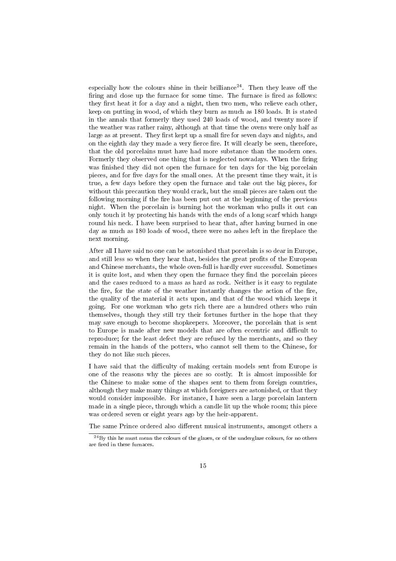especially how the colours shine in their brilliance<sup>24</sup>. Then they leave off the firing and close up the furnace for some time. The furnace is fired as follows: they first heat it for a day and a night, then two men, who relieve each other, keep on putting in wood, of which they burn as much as 180 loads. It is stated in the annals that formerly they used 240 loads of wood, and twenty more if the weather was rather rainy, although at that time the ovens were only half as large as at present. They first kept up a small fire for seven days and nights, and on the eighth day they made a very fierce fire. It will clearly be seen, therefore, that the old porcelains must have had more substance than the modern ones. Formerly they observed one thing that is neglected nowadays. When the firing was finished they did not open the furnace for ten days for the big porcelain pieces, and for five days for the small ones. At the present time they wait, it is true, a few days before they open the furnace and take out the big pieces, for without this precaution they would crack, but the small pieces are taken out the following morning if the fire has been put out at the beginning of the previous night. When the porcelain is burning hot the workman who pulls it out can only touch it by protecting his hands with the ends of a long scarf which hangs round his neck. I have been surprised to hear that, after having burned in one day as much as 180 loads of wood, there were no ashes left in the fireplace the next morning.

After all I have said no one can be astonished that porcelain is so dear in Europe, and still less so when they hear that, besides the great profits of the European and Chinese merchants, the whole oven-full is hardly ever successful. Sometimes it is quite lost, and when they open the furnace they find the porcelain pieces and the cases reduced to a mass as hard as rock. Neither is it easy to regulate the fire, for the state of the weather instantly changes the action of the fire, the quality of the material it acts upon, and that of the wood which keeps it going. For one workman who gets rich there are a hundred others who ruin themselves, though they still try their fortunes further in the hope that they may save enough to become shopkeepers. Moreover, the porcelain that is sent to Europe is made after new models that are often eccentric and difficult to reproduce; for the least defect they are refused by the merchants, and so they remain in the hands of the potters, who cannot sell them to the Chinese, for they do not like such pieces.

I have said that the difficulty of making certain models sent from Europe is one of the reasons why the pieces are so costly. It is almost impossible for the Chinese to make some of the shapes sent to them from foreign countries, although they make many things at which foreigners are astonished, or that they would consider impossible. For instance, I have seen a large porcelain lantern made in a single piece, through which a candle lit up the whole room; this piece was ordered seven or eight years ago by the heir-apparent.

The same Prince ordered also different musical instruments, amongst others a

 $^{24}$  By this he must mean the colours of the glazes, or of the underglaze colours, for no others are fired in these furnaces.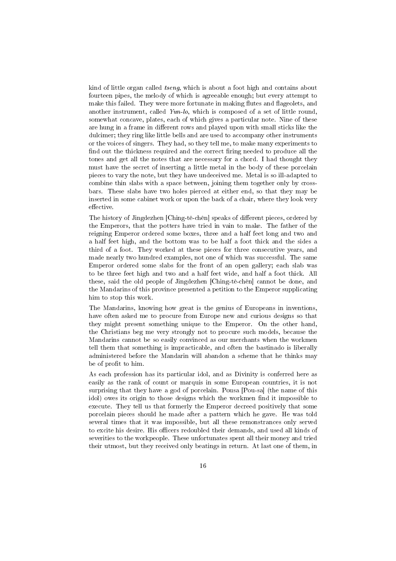kind of little organ called tseng, which is about a foot high and contains about fourteen pipes, the melody of which is agreeable enough; but every attempt to make this failed. They were more fortunate in making flutes and flageolets, and another instrument, called Yun-lo, which is composed of a set of little round, somewhat concave, plates, each of which gives a particular note. Nine of these are hung in a frame in different rows and played upon with small sticks like the dulcimer; they ring like little bells and are used to accompany other instruments or the voices of singers. They had, so they tell me, to make many experiments to find out the thickness required and the correct firing needed to produce all the tones and get all the notes that are necessary for a chord. I had thought they must have the secret of inserting a little metal in the body of these porcelain pieces to vary the note, but they have undeceived me. Metal is so ill-adapted to combine thin slabs with a space between, joining them together only by crossbars. These slabs have two holes pierced at either end, so that they may be inserted in some cabinet work or upon the back of a chair, where they look very effective.

The history of Jingdezhen [Ching-tê-chên] speaks of different pieces, ordered by the Emperors, that the potters have tried in vain to make. The father of the reigning Emperor ordered some boxes, three and a half feet long and two and a half feet high, and the bottom was to be half a foot thick and the sides a third of a foot. They worked at these pieces for three consecutive years, and made nearly two hundred examples, not one of which was successful. The same Emperor ordered some slabs for the front of an open gallery; each slab was to be three feet high and two and a half feet wide, and half a foot thick. All these, said the old people of Jingdezhen [Ching-tê-chên] cannot be done, and the Mandarins of this province presented a petition to the Emperor supplicating him to stop this work.

The Mandarins, knowing how great is the genius of Europeans in inventions, have often asked me to procure from Europe new and curious designs so that they might present something unique to the Emperor. On the other hand, the Christians beg me very strongly not to procure such models, because the Mandarins cannot be so easily convinced as our merchants when the workmen tell them that something is impracticable, and often the bastinado is liberally administered before the Mandarin will abandon a scheme that he thinks may be of profit to him.

As each profession has its particular idol, and as Divinity is conferred here as easily as the rank of count or marquis in some European countries, it is not surprising that they have a god of porcelain. Pousa [Pou-sa] (the name of this idol) owes its origin to those designs which the workmen find it impossible to execute. They tell us that formerly the Emperor decreed positively that some porcelain pieces should he made after a pattern which he gave. He was told several times that it was impossible, but all these remonstrances only served to excite his desire. His officers redoubled their demands, and used all kinds of severities to the workpeople. These unfortunates spent all their money and tried their utmost, but they received only beatings in return. At last one of them, in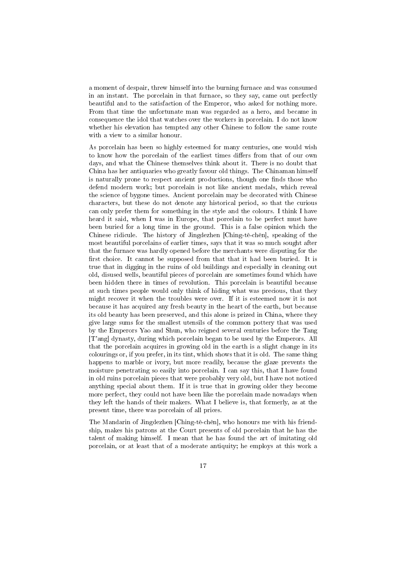a moment of despair, threw himself into the burning furnace and was consumed in an instant. The porcelain in that furnace, so they say, came out perfectly beautiful and to the satisfaction of the Emperor, who asked for nothing more. From that time the unfortunate man was regarded as a hero, and became in consequence the idol that watches over the workers in porcelain. I do not know whether his elevation has tempted any other Chinese to follow the same route with a view to a similar honour.

As porcelain has been so highly esteemed for many centuries, one would wish to know how the porcelain of the earliest times differs from that of our own days, and what the Chinese themselves think about it. There is no doubt that China has her antiquaries who greatly favour old things. The Chinaman himself is naturally prone to respect ancient productions, though one finds those who defend modern work; but porcelain is not like ancient medals, which reveal the science of bygone times. Ancient porcelain may be decorated with Chinese characters, but these do not denote any historical period, so that the curious can only prefer them for something in the style and the colours. I think I have heard it said, when I was in Europe, that porcelain to be perfect must have been buried for a long time in the ground. This is a false opinion which the Chinese ridicule. The history of Jingdezhen [Ching-tê-chên], speaking of the most beautiful porcelains of earlier times, says that it was so much sought after that the furnace was hardly opened before the merchants were disputing for the first choice. It cannot be supposed from that that it had been buried. It is true that in digging in the ruins of old buildings and especially in cleaning out old, disused wells, beautiful pieces of porcelain are sometimes found which have been hidden there in times of revolution. This porcelain is beautiful because at such times people would only think of hiding what was precious, that they might recover it when the troubles were over. If it is esteemed now it is not because it has acquired any fresh beauty in the heart of the earth, but because its old beauty has been preserved, and this alone is prized in China, where they give large sums for the smallest utensils of the common pottery that was used by the Emperors Yao and Shun, who reigned several centuries before the Tang [T'ang] dynasty, during which porcelain began to be used by the Emperors. All that the porcelain acquires in growing old in the earth is a slight change in its colourings or, if you prefer, in its tint, which shows that it is old. The same thing happens to marble or ivory, but more readily, because the glaze prevents the moisture penetrating so easily into porcelain. I can say this, that I have found in old ruins porcelain pieces that were probably very old, but I have not noticed anything special about them. If it is true that in growing older they become more perfect, they could not have been like the porcelain made nowadays when they left the hands of their makers. What I believe is, that formerly, as at the present time, there was porcelain of all prices.

The Mandarin of Jingdezhen [Ching-tê-chên], who honours me with his friendship, makes his patrons at the Court presents of old porcelain that he has the talent of making himself. I mean that he has found the art of imitating old porcelain, or at least that of a moderate antiquity; he employs at this work a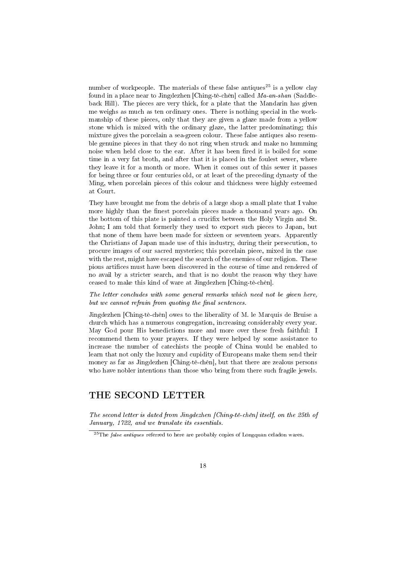number of workpeople. The materials of these false antiques<sup>25</sup> is a yellow clay found in a place near to Jingdezhen [Ching-tê-chên] called Ma-an-shan (Saddleback Hill). The pieces are very thick, for a plate that the Mandarin has given me weighs as much as ten ordinary ones. There is nothing special in the workmanship of these pieces, only that they are given a glaze made from a yellow stone which is mixed with the ordinary glaze, the latter predominating; this mixture gives the porcelain a sea-green colour. These false antiques also resemble genuine pieces in that they do not ring when struck and make no humming noise when held close to the ear. After it has been fired it is boiled for some time in a very fat broth, and after that it is placed in the foulest sewer, where they leave it for a month or more. When it comes out of this sewer it passes for being three or four centuries old, or at least of the preceding dynasty of the Ming, when porcelain pieces of this colour and thickness were highly esteemed at Court.

They have brought me from the debris of a large shop a small plate that I value more highly than the finest porcelain pieces made a thousand years ago. On the bottom of this plate is painted a crucifix between the Holy Virgin and St. John; I am told that formerly they used to export such pieces to Japan, but that none of them have been made for sixteen or seventeen years. Apparently the Christians of Japan made use of this industry, during their persecution, to procure images of our sacred mysteries; this porcelain piece, mixed in the case with the rest, might have escaped the search of the enemies of our religion. These pious artices must have been discovered in the course of time and rendered of no avail by a stricter search, and that is no doubt the reason why they have ceased to make this kind of ware at Jingdezhen [Ching-tê-chên].

The letter concludes with some general remarks which need not be given here,  $but we cannot refrain from quoting the final sentences.$ 

Jingdezhen [Ching-tê-chên] owes to the liberality of M. le Marquis de Bruise a church which has a numerous congregation, increasing considerably every year. May God pour His benedictions more and more over these fresh faithful: I recommend them to your prayers. If they were helped by some assistance to increase the number of catechists the people of China would be enabled to learn that not only the luxury and cupidity of Europeans make them send their money as far as Jingdezhen [Ching-tê-chên], but that there are zealous persons who have nobler intentions than those who bring from there such fragile jewels.

## THE SECOND LETTER

The second letter is dated from Jingdezhen [Ching-tê-chên] itself, on the 25th of January, 1722, and we translate its essentials.

 $\frac{25}{25}$ The *false antiques* referred to here are probably copies of Longquan celadon wares.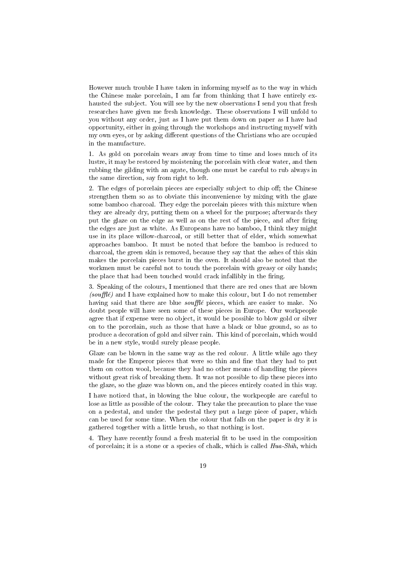However much trouble I have taken in informing myself as to the way in which the Chinese make porcelain, I am far from thinking that I have entirely exhausted the subject. You will see by the new observations I send you that fresh researches have given me fresh knowledge. These observations I will unfold to you without any order, just as I have put them down on paper as I have had opportunity, either in going through the workshops and instructing myself with my own eyes, or by asking different questions of the Christians who are occupied in the manufacture.

1. As gold on porcelain wears away from time to time and loses much of its lustre, it may be restored by moistening the porcelain with clear water, and then rubbing the gilding with an agate, though one must be careful to rub always in the same direction, say from right to left.

2. The edges of porcelain pieces are especially subject to chip off; the Chinese strengthen them so as to obviate this inconvenience by mixing with the glaze some bamboo charcoal. They edge the porcelain pieces with this mixture when they are already dry, putting them on a wheel for the purpose; afterwards they put the glaze on the edge as well as on the rest of the piece, and after firing the edges are just as white. As Europeans have no bamboo, I think they might use in its place willow-charcoal, or still better that of elder, which somewhat approaches bamboo. It must be noted that before the bamboo is reduced to charcoal, the green skin is removed, because they say that the ashes of this skin makes the porcelain pieces burst in the oven. It should also be noted that the workmen must be careful not to touch the porcelain with greasy or oily hands; the place that had been touched would crack infallibly in the firing.

3. Speaking of the colours, I mentioned that there are red ones that are blown (souffle) and I have explained how to make this colour, but I do not remember having said that there are blue  $\textit{souffl\'e}$  pieces, which are easier to make. No doubt people will have seen some of these pieces in Europe. Our workpeople agree that if expense were no object, it would be possible to blow gold or silver on to the porcelain, such as those that have a black or blue ground, so as to produce a decoration of gold and silver rain. This kind of porcelain, which would be in a new style, would surely please people.

Glaze can be blown in the same way as the red colour. A little while ago they made for the Emperor pieces that were so thin and fine that they had to put them on cotton wool, because they had no other means of handling the pieces without great risk of breaking them. It was not possible to dip these pieces into the glaze, so the glaze was blown on, and the pieces entirely coated in this way.

I have noticed that, in blowing the blue colour, the workpeople are careful to lose as little as possible of the colour. They take the precaution to place the vase on a pedestal, and under the pedestal they put a large piece of paper, which can be used for some time. When the colour that falls on the paper is dry it is gathered together with a little brush, so that nothing is lost.

4. They have recently found a fresh material fit to be used in the composition of porcelain; it is a stone or a species of chalk, which is called  $Hua-Shih$ , which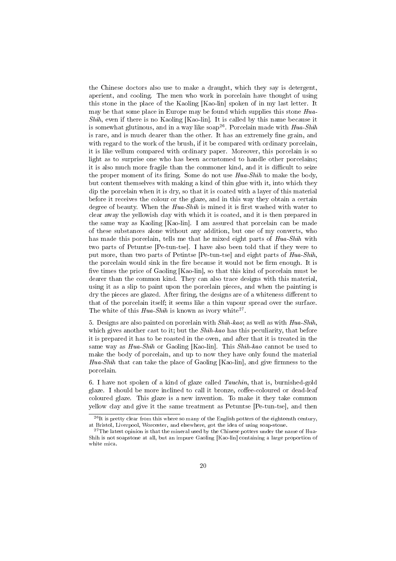the Chinese doctors also use to make a draught, which they say is detergent, aperient, and cooling. The men who work in porcelain have thought of using this stone in the place of the Kaoling [Kao-lin] spoken of in my last letter. It may be that some place in Europe may be found which supplies this stone  $Hua$ - $Shih$ , even if there is no Kaoling [Kao-lin]. It is called by this name because it is somewhat glutinous, and in a way like soap<sup>26</sup>. Porcelain made with  $Hua-Shih$ is rare, and is much dearer than the other. It has an extremely fine grain, and with regard to the work of the brush, if it be compared with ordinary porcelain, it is like vellum compared with ordinary paper. Moreover, this porcelain is so light as to surprise one who has been accustomed to handle other porcelains; it is also much more fragile than the commoner kind, and it is difficult to seize the proper moment of its firing. Some do not use  $Hua-Shih$  to make the body, but content themselves with making a kind of thin glue with it, into which they dip the porcelain when it is dry, so that it is coated with a layer of this material before it receives the colour or the glaze, and in this way they obtain a certain degree of beauty. When the  $Hua-Shih$  is mined it is first washed with water to clear away the yellowish clay with which it is coated, and it is then prepared in the same way as Kaoling [Kao-lin]. I am assured that porcelain can be made of these substances alone without any addition, but one of my converts, who has made this porcelain, tells me that he mixed eight parts of  $Hua-Shih$  with two parts of Petuntse [Pe-tun-tse]. I have also been told that if they were to put more, than two parts of Petintse [Pe-tun-tse] and eight parts of Hua-Shih, the porcelain would sink in the fire because it would not be firm enough. It is five times the price of Gaoling  $[Ka\text{o-lin}]$ , so that this kind of porcelain must be dearer than the common kind. They can also trace designs with this material, using it as a slip to paint upon the porcelain pieces, and when the painting is dry the pieces are glazed. After firing, the designs are of a whiteness different to that of the porcelain itself; it seems like a thin vapour spread over the surface. The white of this  $Hua\text{-}Shih$  is known as ivory white<sup>27</sup>.

5. Designs are also painted on porcelain with Shih-kao; as well as with Hua-Shih, which gives another cast to it; but the *Shih-kao* has this peculiarity, that before it is prepared it has to be roasted in the oven, and after that it is treated in the same way as Hua-Shih or Gaoling [Kao-lin]. This Shih-kao cannot be used to make the body of porcelain, and up to now they have only found the material Hua-Shih that can take the place of Gaoling [Kao-lin], and give firmness to the porcelain.

6. I have not spoken of a kind of glaze called Tauchin, that is, burnished-gold glaze. I should be more inclined to call it bronze, coffee-coloured or dead-leaf coloured glaze. This glaze is a new invention. To make it they take common yellow clay and give it the same treatment as Petuntse [Pe-tun-tse], and then

 $^{26}$ It is pretty clear from this where so many of the English potters of the eighteenth century, at Bristol, Liverpool, Worcester, and elsewhere, got the idea of using soap-stone.

<sup>&</sup>lt;sup>27</sup> The latest opinion is that the mineral used by the Chinese potters under the name of Hua-Shih is not soapstone at all, but an impure Gaoling [Kao-lin] containing a large proportion of white mica.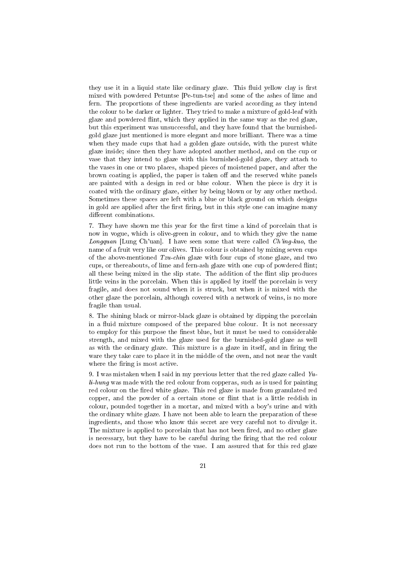they use it in a liquid state like ordinary glaze. This fluid yellow clay is first mixed with powdered Petuntse [Pe-tun-tse] and some of the ashes of lime and fern. The proportions of these ingredients are varied according as they intend the colour to be darker or lighter. They tried to make a mixture of gold-leaf with glaze and powdered flint, which they applied in the same way as the red glaze, but this experiment was unsuccessful, and they have found that the burnishedgold glaze just mentioned is more elegant and more brilliant. There was a time when they made cups that had a golden glaze outside, with the purest white glaze inside; since then they have adopted another method, and on the cup or vase that they intend to glaze with this burnished-gold glaze, they attach to the vases in one or two places, shaped pieces of moistened paper, and after the brown coating is applied, the paper is taken off and the reserved white panels are painted with a design in red or blue colour. When the piece is dry it is coated with the ordinary glaze, either by being blown or by any other method. Sometimes these spaces are left with a blue or black ground on which designs in gold are applied after the first firing, but in this style one can imagine many different combinations.

7. They have shown me this year for the first time a kind of porcelain that is now in vogue, which is olive-green in colour, and to which they give the name *Longquan* [Lung Ch'uan]. I have seen some that were called  $Ch'ing\text{-}kuo$ , the name of a fruit very like our olives. This colour is obtained by mixing seven cups of the above-mentioned  $Tzu-chin$  glaze with four cups of stone glaze, and two cups, or thereabouts, of lime and fern-ash glaze with one cup of powdered flint; all these being mixed in the slip state. The addition of the flint slip produces little veins in the porcelain. When this is applied by itself the porcelain is very fragile, and does not sound when it is struck, but when it is mixed with the other glaze the porcelain, although covered with a network of veins, is no more fragile than usual.

8. The shining black or mirror-black glaze is obtained by dipping the porcelain in a fluid mixture composed of the prepared blue colour. It is not necessary to employ for this purpose the finest blue, but it must be used to considerable strength, and mixed with the glaze used for the burnished-gold glaze as well as with the ordinary glaze. This mixture is a glaze in itself, and in firing the ware they take care to place it in the middle of the oven, and not near the vault where the firing is most active.

9. I was mistaken when I said in my previous letter that the red glaze called  $Yu$ li-hung was made with the red colour from copperas, such as is used for painting red colour on the fired white glaze. This red glaze is made from granulated red copper, and the powder of a certain stone or flint that is a little reddish in colour, pounded together in a mortar, and mixed with a boy's urine and with the ordinary white glaze. I have not been able to learn the preparation of these ingredients, and those who know this secret are very careful not to divulge it. The mixture is applied to porcelain that has not been fired, and no other glaze is necessary, but they have to be careful during the firing that the red colour does not run to the bottom of the vase. I am assured that for this red glaze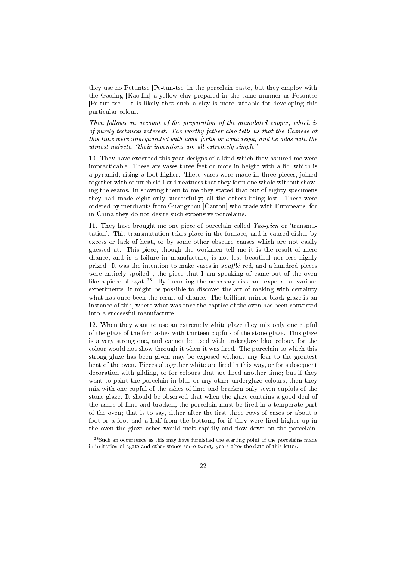they use no Petuntse [Pe-tun-tse] in the porcelain paste, but they employ with the Gaoling [Kao-lin] a yellow clay prepared in the same manner as Petuntse [Pe-tun-tse]. It is likely that such a clay is more suitable for developing this particular colour.

Then follows an account of the preparation of the granulated copper, which is of purely technical interest. The worthy father also tells us that the Chinese at this time were unacquainted with aqua-fortis or aqua-regia, and he adds with the utmost naiveté, "their inventions are all extremely simple".

10. They have executed this year designs of a kind which they assured me were impracticable. These are vases three feet or more in height with a lid, which is a pyramid, rising a foot higher. These vases were made in three pieces, joined together with so much skill and neatness that they form one whole without showing the seams. In showing them to me they stated that out of eighty specimens they had made eight only successfully; all the others being lost. These were ordered by merchants from Guangzhou [Canton] who trade with Europeans, for in China they do not desire such expensive porcelains.

11. They have brought me one piece of porcelain called Yao-pien or 'transmutation'. This transmutation takes place in the furnace, and is caused either by excess or lack of heat, or by some other obscure causes which are not easily guessed at. This piece, though the workmen tell me it is the result of mere chance, and is a failure in manufacture, is not less beautiful nor less highly prized. It was the intention to make vases in  $s\textit{ouffl\'e}$  red, and a hundred pieces were entirely spoiled ; the piece that I am speaking of came out of the oven like a piece of agate<sup>28</sup>. By incurring the necessary risk and expense of various experiments, it might be possible to discover the art of making with certainty what has once been the result of chance. The brilliant mirror-black glaze is an instance of this, where what was once the caprice of the oven has been converted into a successful manufacture.

12. When they want to use an extremely white glaze they mix only one cupful of the glaze of the fern ashes with thirteen cupfuls of the stone glaze. This glaze is a very strong one, and cannot be used with underglaze blue colour, for the colour would not show through it when it was fired. The porcelain to which this strong glaze has been given may be exposed without any fear to the greatest heat of the oven. Pieces altogether white are fired in this way, or for subsequent decoration with gilding, or for colours that are fired another time; but if they want to paint the porcelain in blue or any other underglaze colours, then they mix with one cupful of the ashes of lime and bracken only seven cupfuls of the stone glaze. It should be observed that when the glaze contains a good deal of the ashes of lime and bracken, the porcelain must be fired in a temperate part of the oven; that is to say, either after the first three rows of cases or about a foot or a foot and a half from the bottom; for if they were fired higher up in the oven the glaze ashes would melt rapidly and flow down on the porcelain.

<sup>28</sup>Such an occurrence as this may have furnished the starting point of the porcelains made in imitation of agate and other stones some twenty years after the date of this letter.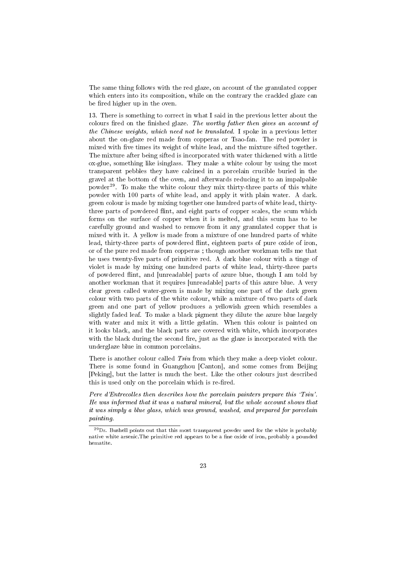The same thing follows with the red glaze, on account of the granulated copper which enters into its composition, while on the contrary the crackled glaze can be fired higher up in the oven.

13. There is something to correct in what I said in the previous letter about the colours fired on the finished glaze. The worthy father then gives an account of the Chinese weights, which need not be translated. I spoke in a previous letter about the on-glaze red made from copperas or Tsao-fan. The red powder is mixed with five times its weight of white lead, and the mixture sifted together. The mixture after being sifted is incorporated with water thickened with a little ox-glue, something like isinglass. They make a white colour by using the most transparent pebbles they have calcined in a porcelain crucible buried in the gravel at the bottom of the oven, and afterwards reducing it to an impalpable powder<sup>29</sup>. To make the white colour they mix thirty-three parts of this white powder with 100 parts of white lead, and apply it with plain water. A dark. green colour is made by mixing together one hundred parts of white lead, thirtythree parts of powdered flint, and eight parts of copper scales, the scum which forms on the surface of copper when it is melted, and this scum has to be carefully ground and washed to remove from it any granulated copper that is mixed with it. A yellow is made from a mixture of one hundred parts of white lead, thirty-three parts of powdered flint, eighteen parts of pure oxide of iron, or of the pure red made from copperas ; though another workman tells me that he uses twenty-five parts of primitive red. A dark blue colour with a tinge of violet is made by mixing one hundred parts of white lead, thirty-three parts of powdered int, and [unreadable] parts of azure blue, though I am told by another workman that it requires [unreadable] parts of this azure blue. A very clear green called water-green is made by mixing one part of the dark green colour with two parts of the white colour, while a mixture of two parts of dark green and one part of yellow produces a yellowish green which resembles a slightly faded leaf. To make a black pigment they dilute the azure blue largely with water and mix it with a little gelatin. When this colour is painted on it looks black, and the black parts are covered with white, which incorporates with the black during the second fire, just as the glaze is incorporated with the underglaze blue in common porcelains.

There is another colour called Tsiu from which they make a deep violet colour. There is some found in Guangzhou [Canton], and some comes from Beijing [Peking], but the latter is much the best. Like the other colours just described this is used only on the porcelain which is re-fired.

Pere d'Entrecolles then describes how the porcelain painters prepare this 'Tsiu'. He was informed that it was a natural mineral, but the whole account shows that it was simply a blue glass, which was ground, washed, and prepared for porcelain painting.

 $^{29}$  Dr. Bushell points out that this most transparent powder used for the white is probably native white arsenic. The primitive red appears to be a fine oxide of iron, probably a pounded hematite.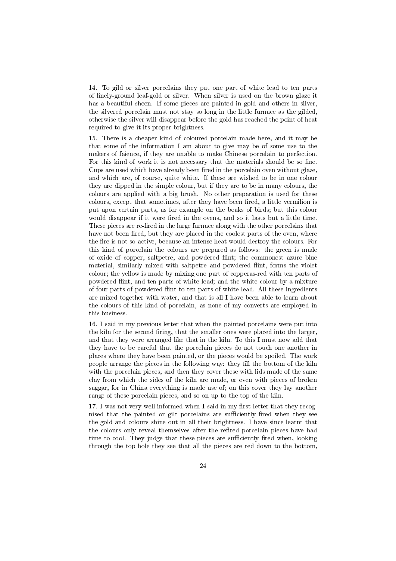14. To gild or silver porcelains they put one part of white lead to ten parts of finely-ground leaf-gold or silver. When silver is used on the brown glaze it has a beautiful sheen. If some pieces are painted in gold and others in silver, the silvered porcelain must not stay so long in the little furnace as the gilded, otherwise the silver will disappear before the gold has reached the point of heat required to give it its proper brightness.

15. There is a cheaper kind of coloured porcelain made here, and it may be that some of the information I am about to give may be of some use to the makers of faience, if they are unable to make Chinese porcelain to perfection. For this kind of work it is not necessary that the materials should be so fine. Cups are used which have already been fired in the porcelain oven without glaze, and which are, of course, quite white. If these are wished to be in one colour they are dipped in the simple colour, but if they are to be in many colours, the colours are applied with a big brush. No other preparation is used for these colours, except that sometimes, after they have been fired, a little vermilion is put upon certain parts, as for example on the beaks of birds; but this colour would disappear if it were fired in the ovens, and so it lasts but a little time. These pieces are re-fired in the large furnace along with the other porcelains that have not been fired, but they are placed in the coolest parts of the oven, where the fire is not so active, because an intense heat would destroy the colours. For this kind of porcelain the colours are prepared as follows: the green is made of oxide of copper, saltpetre, and powdered flint; the commonest azure blue material, similarly mixed with saltpetre and powdered flint, forms the violet colour; the yellow is made by mixing one part of copperas-red with ten parts of powdered flint, and ten parts of white lead; and the white colour by a mixture of four parts of powdered flint to ten parts of white lead. All these ingredients are mixed together with water, and that is all I have been able to learn about the colours of this kind of porcelain, as none of my converts are employed in this business.

16. I said in my previous letter that when the painted porcelains were put into the kiln for the second firing, that the smaller ones were placed into the larger, and that they were arranged like that in the kiln. To this I must now add that they have to be careful that the porcelain pieces do not touch one another in places where they have been painted, or the pieces would be spoiled. The work people arrange the pieces in the following way: they fill the bottom of the kiln with the porcelain pieces, and then they cover these with lids made of the same clay from which the sides of the kiln are made, or even with pieces of broken saggar, for in China everything is made use of; on this cover they lay another range of these porcelain pieces, and so on up to the top of the kiln.

17. I was not very well informed when I said in my first letter that they recognised that the painted or gilt porcelains are sufficiently fired when they see the gold and colours shine out in all their brightness. I have since learnt that the colours only reveal themselves after the refired porcelain pieces have had time to cool. They judge that these pieces are sufficiently fired when, looking through the top hole they see that all the pieces are red down to the bottom,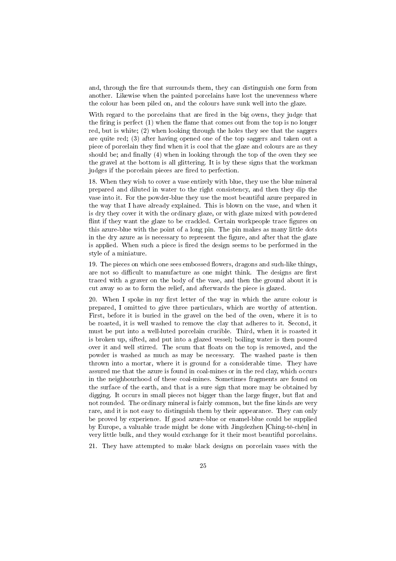and, through the fire that surrounds them, they can distinguish one form from another. Likewise when the painted porcelains have lost the unevenness where the colour has been piled on, and the colours have sunk well into the glaze.

With regard to the porcelains that are fired in the big ovens, they judge that the firing is perfect  $(1)$  when the flame that comes out from the top is no longer red, but is white; (2) when looking through the holes they see that the saggers are quite red; (3) after having opened one of the top saggers and taken out a piece of porcelain they find when it is cool that the glaze and colours are as they should be; and finally  $(4)$  when in looking through the top of the oven they see the gravel at the bottom is all glittering. It is by these signs that the workman judges if the porcelain pieces are fired to perfection.

18. When they wish to cover a vase entirely with blue, they use the blue mineral prepared and diluted in water to the right consistency, and then they dip the vase into it. For the powder-blue they use the most beautiful azure prepared in the way that I have already explained. This is blown on the vase, and when it is dry they cover it with the ordinary glaze, or with glaze mixed with powdered flint if they want the glaze to be crackled. Certain workpeople trace figures on this azure-blue with the point of a long pin. The pin makes as many little dots in the dry azure as is necessary to represent the figure, and after that the glaze is applied. When such a piece is fired the design seems to be performed in the style of a miniature.

19. The pieces on which one sees embossed flowers, dragons and such-like things, are not so difficult to manufacture as one might think. The designs are first traced with a graver on the body of the vase, and then the ground about it is cut away so as to form the relief, and afterwards the piece is glazed.

20. When I spoke in my first letter of the way in which the azure colour is prepared, I omitted to give three particulars, which are worthy of attention. First, before it is buried in the gravel on the bed of the oven, where it is to be roasted, it is well washed to remove the clay that adheres to it. Second, it must be put into a well-luted porcelain crucible. Third, when it is roasted it is broken up, sifted, and put into a glazed vessel; boiling water is then poured over it and well stirred. The scum that floats on the top is removed, and the powder is washed as much as may be necessary. The washed paste is then thrown into a mortar, where it is ground for a considerable time. They have assured me that the azure is found in coal-mines or in the red clay, which occurs in the neighbourhood of these coal-mines. Sometimes fragments are found on the surface of the earth, and that is a sure sign that more may be obtained by digging. It occurs in small pieces not bigger than the large finger, but flat and not rounded. The ordinary mineral is fairly common, but the fine kinds are very rare, and it is not easy to distinguish them by their appearance. They can only be proved by experience. If good azure-blue or enamel-blue could be supplied by Europe, a valuable trade might be done with Jingdezhen [Ching-tê-chên] in very little bulk, and they would exchange for it their most beautiful porcelains.

21. They have attempted to make black designs on porcelain vases with the